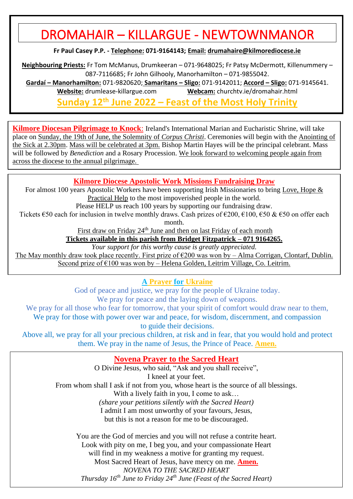# DROMAHAIR – KILLARGUE - NEWTOWNMANOR

**Fr Paul Casey P.P. - Telephone: 071-9164143; Email: [drumahaire@kilmorediocese.ie](about:blank)**

**Neighbouring Priests:** Fr Tom McManus, Drumkeeran – 071-9648025; Fr Patsy McDermott, Killenummery – 087-7116685; Fr John Gilhooly, Manorhamilton – 071-9855042.

**Gardaí – Manorhamilton:** 071-9820620; **Samaritans – Sligo:** 071-9142011; **Accord – Sligo:** 071-9145641. **Website:** drumlease-killargue.com **Webcam:** churchtv.ie/dromahair.html

**Sunday 12th June 2022 – Feast of the Most Holy Trinity**

**Kilmore Diocesan Pilgrimage to Knock**: Ireland's International Marian and Eucharistic Shrine, will take place on Sunday, the 19th of June, the Solemnity of *Corpus Christi*. Ceremonies will begin with the Anointing of the Sick at 2.30pm. Mass will be celebrated at 3pm. Bishop Martin Hayes will be the principal celebrant. Mass will be followed by *Benediction* and a Rosary Procession. We look forward to welcoming people again from across the diocese to the annual pilgrimage.

#### **Kilmore Diocese Apostolic Work Missions Fundraising Draw**

For almost 100 years Apostolic Workers have been supporting Irish Missionaries to bring Love, Hope & Practical Help to the most impoverished people in the world.

Please HELP us reach 100 years by supporting our fundraising draw.

Tickets  $\epsilon$ 50 each for inclusion in twelve monthly draws. Cash prizes of  $\epsilon$ 200,  $\epsilon$ 100,  $\epsilon$ 50 &  $\epsilon$ 50 on offer each month.

First draw on Friday 24<sup>th</sup> June and then on last Friday of each month

**Tickets available in this parish from Bridget Fitzpatrick – 071 9164265.**

*Your support for this worthy cause is greatly appreciated.*

The May monthly draw took place recently. First prize of  $\epsilon$ 200 was won by – Alma Corrigan, Clontarf, Dublin. Second prize of  $\epsilon$ 100 was won by – Helena Golden, Leitrim Village, Co. Leitrim.

#### **A Prayer for Ukraine**

God of peace and justice, we pray for the people of Ukraine today. We pray for peace and the laying down of weapons.

We pray for all those who fear for tomorrow, that your spirit of comfort would draw near to them,

We pray for those with power over war and peace, for wisdom, discernment, and compassion to guide their decisions.

Above all, we pray for all your precious children, at risk and in fear, that you would hold and protect them. We pray in the name of Jesus, the Prince of Peace. **Amen.**

### **Novena Prayer to the Sacred Heart**

O Divine Jesus, who said, "Ask and you shall receive", I kneel at your feet. From whom shall I ask if not from you, whose heart is the source of all blessings. With a lively faith in you, I come to ask... *(share your petitions silently with the Sacred Heart)* I admit I am most unworthy of your favours, Jesus, but this is not a reason for me to be discouraged.

You are the God of mercies and you will not refuse a contrite heart. Look with pity on me, I beg you, and your compassionate Heart will find in my weakness a motive for granting my request. Most Sacred Heart of Jesus, have mercy on me. **Amen.** *NOVENA TO THE SACRED HEART Thursday 16th June to Friday 24th June (Feast of the Sacred Heart)*